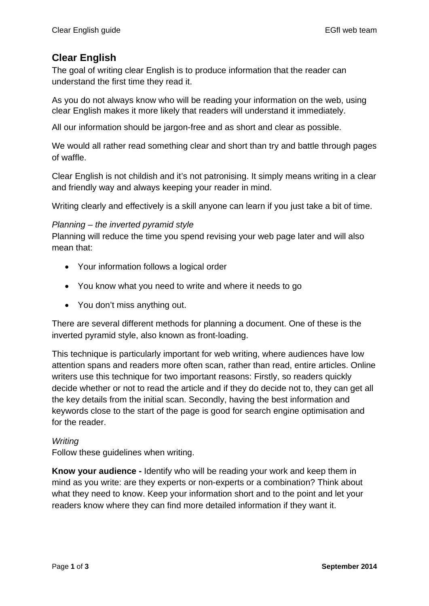# **Clear English**

The goal of writing clear English is to produce information that the reader can understand the first time they read it.

As you do not always know who will be reading your information on the web, using clear English makes it more likely that readers will understand it immediately.

All our information should be jargon-free and as short and clear as possible.

We would all rather read something clear and short than try and battle through pages of waffle.

Clear English is not childish and it's not patronising. It simply means writing in a clear and friendly way and always keeping your reader in mind.

Writing clearly and effectively is a skill anyone can learn if you just take a bit of time.

# *Planning – the inverted pyramid style*

Planning will reduce the time you spend revising your web page later and will also mean that:

- Your information follows a logical order
- You know what you need to write and where it needs to go
- You don't miss anything out.

There are several different methods for planning a document. One of these is the inverted pyramid style, also known as front-loading.

This technique is particularly important for web writing, where audiences have low attention spans and readers more often scan, rather than read, entire articles. Online writers use this technique for two important reasons: Firstly, so readers quickly decide whether or not to read the article and if they do decide not to, they can get all the key details from the initial scan. Secondly, having the best information and keywords close to the start of the page is good for search engine optimisation and for the reader.

#### *Writing*

Follow these guidelines when writing.

**Know your audience -** Identify who will be reading your work and keep them in mind as you write: are they experts or non-experts or a combination? Think about what they need to know. Keep your information short and to the point and let your readers know where they can find more detailed information if they want it.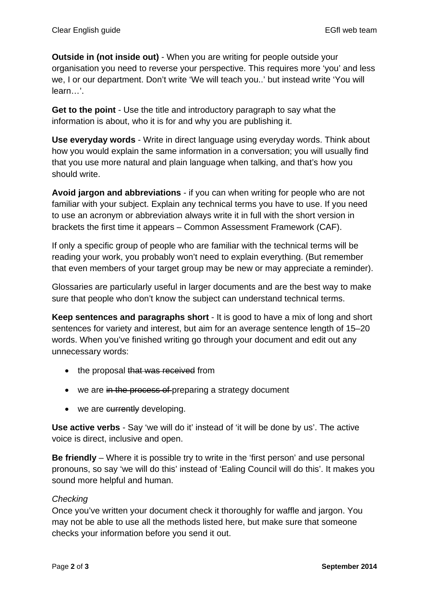**Outside in (not inside out)** - When you are writing for people outside your organisation you need to reverse your perspective. This requires more 'you' and less we, I or our department. Don't write 'We will teach you..' but instead write 'You will learn…'.

**Get to the point** - Use the title and introductory paragraph to say what the information is about, who it is for and why you are publishing it.

**Use everyday words** - Write in direct language using everyday words. Think about how you would explain the same information in a conversation; you will usually find that you use more natural and plain language when talking, and that's how you should write.

**Avoid jargon and abbreviations** - if you can when writing for people who are not familiar with your subject. Explain any technical terms you have to use. If you need to use an acronym or abbreviation always write it in full with the short version in brackets the first time it appears – Common Assessment Framework (CAF).

If only a specific group of people who are familiar with the technical terms will be reading your work, you probably won't need to explain everything. (But remember that even members of your target group may be new or may appreciate a reminder).

Glossaries are particularly useful in larger documents and are the best way to make sure that people who don't know the subject can understand technical terms.

**Keep sentences and paragraphs short** - It is good to have a mix of long and short sentences for variety and interest, but aim for an average sentence length of 15–20 words. When you've finished writing go through your document and edit out any unnecessary words:

- the proposal that was received from
- we are in the process of preparing a strategy document
- we are currently developing.

**Use active verbs** - Say 'we will do it' instead of 'it will be done by us'. The active voice is direct, inclusive and open.

**Be friendly** – Where it is possible try to write in the 'first person' and use personal pronouns, so say 'we will do this' instead of 'Ealing Council will do this'. It makes you sound more helpful and human.

# *Checking*

Once you've written your document check it thoroughly for waffle and jargon. You may not be able to use all the methods listed here, but make sure that someone checks your information before you send it out.